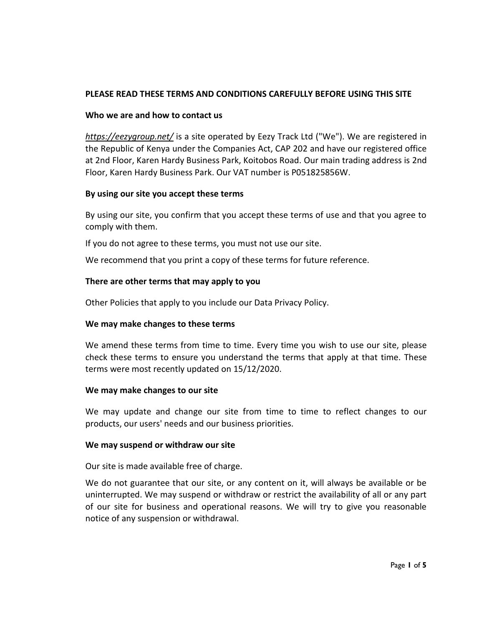# **PLEASE READ THESE TERMS AND CONDITIONS CAREFULLY BEFORE USING THIS SITE**

### **Who we are and how to contact us**

*<https://eezygroup.net/>* is a site operated by Eezy Track Ltd ("We"). We are registered in the Republic of Kenya under the Companies Act, CAP 202 and have our registered office at 2nd Floor, Karen Hardy Business Park, Koitobos Road. Our main trading address is 2nd Floor, Karen Hardy Business Park. Our VAT number is P051825856W.

### **By using our site you accept these terms**

By using our site, you confirm that you accept these terms of use and that you agree to comply with them.

If you do not agree to these terms, you must not use our site.

We recommend that you print a copy of these terms for future reference.

#### **There are other terms that may apply to you**

Other Policies that apply to you include our Data Privacy Policy.

### **We may make changes to these terms**

We amend these terms from time to time. Every time you wish to use our site, please check these terms to ensure you understand the terms that apply at that time. These terms were most recently updated on 15/12/2020.

#### **We may make changes to our site**

We may update and change our site from time to time to reflect changes to our products, our users' needs and our business priorities.

#### **We may suspend or withdraw our site**

Our site is made available free of charge.

We do not guarantee that our site, or any content on it, will always be available or be uninterrupted. We may suspend or withdraw or restrict the availability of all or any part of our site for business and operational reasons. We will try to give you reasonable notice of any suspension or withdrawal.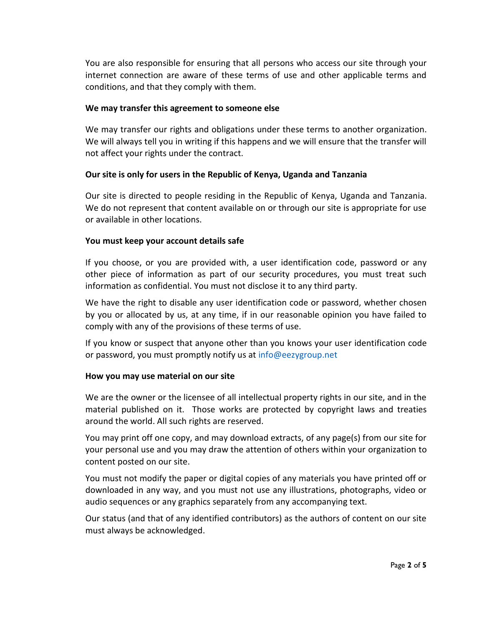You are also responsible for ensuring that all persons who access our site through your internet connection are aware of these terms of use and other applicable terms and conditions, and that they comply with them.

### **We may transfer this agreement to someone else**

We may transfer our rights and obligations under these terms to another organization. We will always tell you in writing if this happens and we will ensure that the transfer will not affect your rights under the contract.

### **Our site is only for users in the Republic of Kenya, Uganda and Tanzania**

Our site is directed to people residing in the Republic of Kenya, Uganda and Tanzania. We do not represent that content available on or through our site is appropriate for use or available in other locations.

### **You must keep your account details safe**

If you choose, or you are provided with, a user identification code, password or any other piece of information as part of our security procedures, you must treat such information as confidential. You must not disclose it to any third party.

We have the right to disable any user identification code or password, whether chosen by you or allocated by us, at any time, if in our reasonable opinion you have failed to comply with any of the provisions of these terms of use.

If you know or suspect that anyone other than you knows your user identification code or password, you must promptly notify us at info@eezygroup.net

### **How you may use material on our site**

We are the owner or the licensee of all intellectual property rights in our site, and in the material published on it. Those works are protected by copyright laws and treaties around the world. All such rights are reserved.

You may print off one copy, and may download extracts, of any page(s) from our site for your personal use and you may draw the attention of others within your organization to content posted on our site.

You must not modify the paper or digital copies of any materials you have printed off or downloaded in any way, and you must not use any illustrations, photographs, video or audio sequences or any graphics separately from any accompanying text.

Our status (and that of any identified contributors) as the authors of content on our site must always be acknowledged.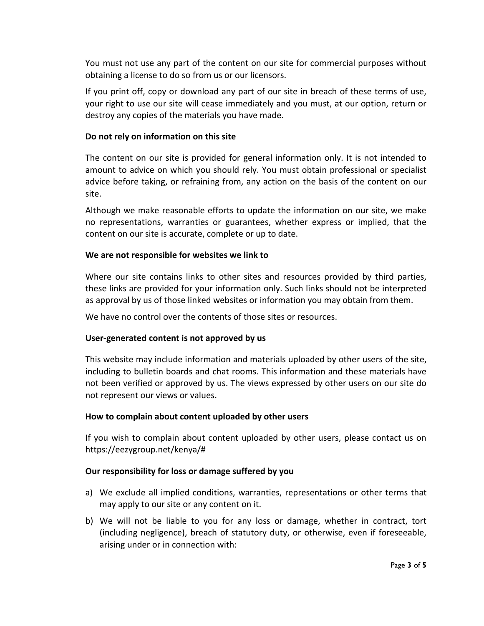You must not use any part of the content on our site for commercial purposes without obtaining a license to do so from us or our licensors.

If you print off, copy or download any part of our site in breach of these terms of use, your right to use our site will cease immediately and you must, at our option, return or destroy any copies of the materials you have made.

## **Do not rely on information on this site**

The content on our site is provided for general information only. It is not intended to amount to advice on which you should rely. You must obtain professional or specialist advice before taking, or refraining from, any action on the basis of the content on our site.

Although we make reasonable efforts to update the information on our site, we make no representations, warranties or guarantees, whether express or implied, that the content on our site is accurate, complete or up to date.

## **We are not responsible for websites we link to**

Where our site contains links to other sites and resources provided by third parties, these links are provided for your information only. Such links should not be interpreted as approval by us of those linked websites or information you may obtain from them.

We have no control over the contents of those sites or resources.

# **User-generated content is not approved by us**

This website may include information and materials uploaded by other users of the site, including to bulletin boards and chat rooms. This information and these materials have not been verified or approved by us. The views expressed by other users on our site do not represent our views or values.

### **How to complain about content uploaded by other users**

If you wish to complain about content uploaded by other users, please contact us on https://eezygroup.net/kenya/#

### **Our responsibility for loss or damage suffered by you**

- a) We exclude all implied conditions, warranties, representations or other terms that may apply to our site or any content on it.
- b) We will not be liable to you for any loss or damage, whether in contract, tort (including negligence), breach of statutory duty, or otherwise, even if foreseeable, arising under or in connection with: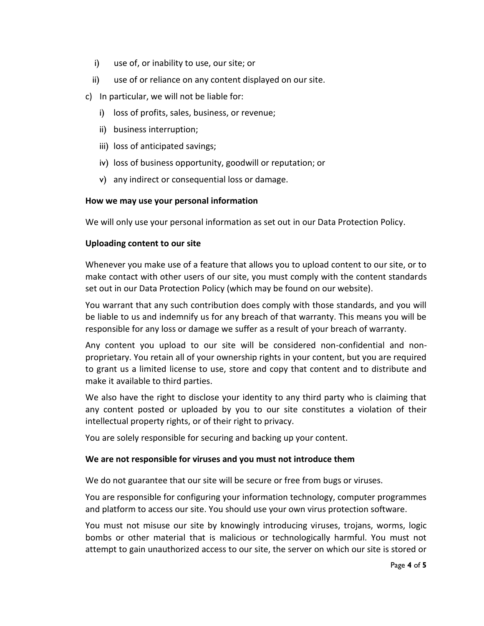- i) use of, or inability to use, our site; or
- ii) use of or reliance on any content displayed on our site.
- c) In particular, we will not be liable for:
	- i) loss of profits, sales, business, or revenue;
	- ii) business interruption;
	- iii) loss of anticipated savings;
	- iv) loss of business opportunity, goodwill or reputation; or
	- v) any indirect or consequential loss or damage.

#### **How we may use your personal information**

We will only use your personal information as set out in our Data Protection Policy.

### **Uploading content to our site**

Whenever you make use of a feature that allows you to upload content to our site, or to make contact with other users of our site, you must comply with the content standards set out in our Data Protection Policy (which may be found on our website).

You warrant that any such contribution does comply with those standards, and you will be liable to us and indemnify us for any breach of that warranty. This means you will be responsible for any loss or damage we suffer as a result of your breach of warranty.

Any content you upload to our site will be considered non-confidential and nonproprietary. You retain all of your ownership rights in your content, but you are required to grant us a limited license to use, store and copy that content and to distribute and make it available to third parties.

We also have the right to disclose your identity to any third party who is claiming that any content posted or uploaded by you to our site constitutes a violation of their intellectual property rights, or of their right to privacy.

You are solely responsible for securing and backing up your content.

### **We are not responsible for viruses and you must not introduce them**

We do not guarantee that our site will be secure or free from bugs or viruses.

You are responsible for configuring your information technology, computer programmes and platform to access our site. You should use your own virus protection software.

You must not misuse our site by knowingly introducing viruses, trojans, worms, logic bombs or other material that is malicious or technologically harmful. You must not attempt to gain unauthorized access to our site, the server on which our site is stored or